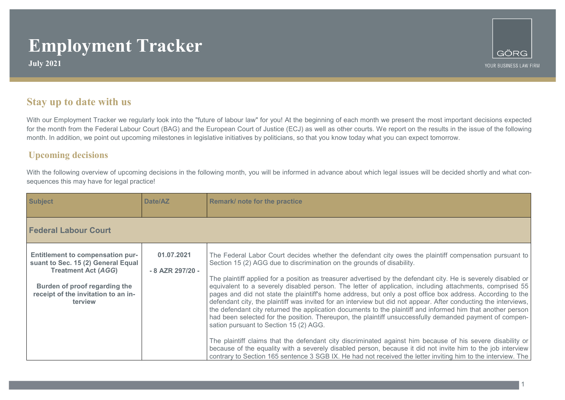**July 2021**

1

### **Stay up to date with us**

With our Employment Tracker we regularly look into the "future of labour law" for you! At the beginning of each month we present the most important decisions expected for the month from the Federal Labour Court (BAG) and the European Court of Justice (ECJ) as well as other courts. We report on the results in the issue of the following month. In addition, we point out upcoming milestones in legislative initiatives by politicians, so that you know today what you can expect tomorrow.

#### **Upcoming decisions**

With the following overview of upcoming decisions in the following month, you will be informed in advance about which legal issues will be decided shortly and what consequences this may have for legal practice!

| <b>Subject</b>                                                                                                                                                                                 | Date/AZ                        | Remark/ note for the practice                                                                                                                                                                                                                                                                                                                                                                                                                                                                                                                                                                                                                                                                                                                                                                                                                                                                                                                                                                                                                                                                                                                                                                                                                                    |
|------------------------------------------------------------------------------------------------------------------------------------------------------------------------------------------------|--------------------------------|------------------------------------------------------------------------------------------------------------------------------------------------------------------------------------------------------------------------------------------------------------------------------------------------------------------------------------------------------------------------------------------------------------------------------------------------------------------------------------------------------------------------------------------------------------------------------------------------------------------------------------------------------------------------------------------------------------------------------------------------------------------------------------------------------------------------------------------------------------------------------------------------------------------------------------------------------------------------------------------------------------------------------------------------------------------------------------------------------------------------------------------------------------------------------------------------------------------------------------------------------------------|
| <b>Federal Labour Court</b>                                                                                                                                                                    |                                |                                                                                                                                                                                                                                                                                                                                                                                                                                                                                                                                                                                                                                                                                                                                                                                                                                                                                                                                                                                                                                                                                                                                                                                                                                                                  |
| <b>Entitlement to compensation pur-</b><br>suant to Sec. 15 (2) General Equal<br><b>Treatment Act (AGG)</b><br>Burden of proof regarding the<br>receipt of the invitation to an in-<br>terview | 01.07.2021<br>- 8 AZR 297/20 - | The Federal Labor Court decides whether the defendant city owes the plaintiff compensation pursuant to<br>Section 15 (2) AGG due to discrimination on the grounds of disability.<br>The plaintiff applied for a position as treasurer advertised by the defendant city. He is severely disabled or<br>equivalent to a severely disabled person. The letter of application, including attachments, comprised 55<br>pages and did not state the plaintiff's home address, but only a post office box address. According to the<br>defendant city, the plaintiff was invited for an interview but did not appear. After conducting the interviews,<br>the defendant city returned the application documents to the plaintiff and informed him that another person<br>had been selected for the position. Thereupon, the plaintiff unsuccessfully demanded payment of compen-<br>sation pursuant to Section 15 (2) AGG.<br>The plaintiff claims that the defendant city discriminated against him because of his severe disability or<br>because of the equality with a severely disabled person, because it did not invite him to the job interview<br>contrary to Section 165 sentence 3 SGB IX. He had not received the letter inviting him to the interview. The |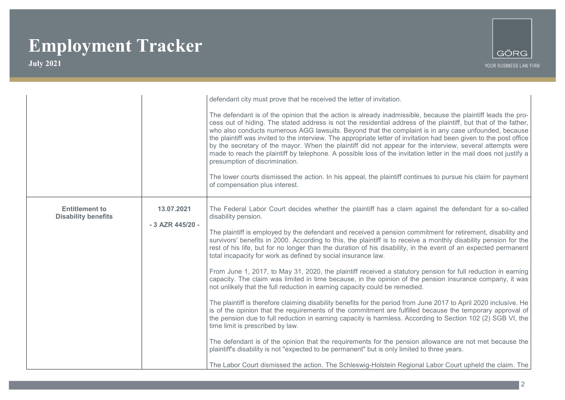

|                                                     |                                | defendant city must prove that he received the letter of invitation.<br>The defendant is of the opinion that the action is already inadmissible, because the plaintiff leads the pro-<br>cess out of hiding. The stated address is not the residential address of the plaintiff, but that of the father,<br>who also conducts numerous AGG lawsuits. Beyond that the complaint is in any case unfounded, because<br>the plaintiff was invited to the interview. The appropriate letter of invitation had been given to the post office                                                                                                                                                                                                                                                                                                                                                                                                                                                                                                                                                                                                                                                                                                                                                                                                                                                                                                                                                                                                                                     |
|-----------------------------------------------------|--------------------------------|----------------------------------------------------------------------------------------------------------------------------------------------------------------------------------------------------------------------------------------------------------------------------------------------------------------------------------------------------------------------------------------------------------------------------------------------------------------------------------------------------------------------------------------------------------------------------------------------------------------------------------------------------------------------------------------------------------------------------------------------------------------------------------------------------------------------------------------------------------------------------------------------------------------------------------------------------------------------------------------------------------------------------------------------------------------------------------------------------------------------------------------------------------------------------------------------------------------------------------------------------------------------------------------------------------------------------------------------------------------------------------------------------------------------------------------------------------------------------------------------------------------------------------------------------------------------------|
|                                                     |                                | by the secretary of the mayor. When the plaintiff did not appear for the interview, several attempts were<br>made to reach the plaintiff by telephone. A possible loss of the invitation letter in the mail does not justify a<br>presumption of discrimination.<br>The lower courts dismissed the action. In his appeal, the plaintiff continues to pursue his claim for payment<br>of compensation plus interest.                                                                                                                                                                                                                                                                                                                                                                                                                                                                                                                                                                                                                                                                                                                                                                                                                                                                                                                                                                                                                                                                                                                                                        |
| <b>Entitlement to</b><br><b>Disability benefits</b> | 13.07.2021<br>- 3 AZR 445/20 - | The Federal Labor Court decides whether the plaintiff has a claim against the defendant for a so-called<br>disability pension.<br>The plaintiff is employed by the defendant and received a pension commitment for retirement, disability and<br>survivors' benefits in 2000. According to this, the plaintiff is to receive a monthly disability pension for the<br>rest of his life, but for no longer than the duration of his disability, in the event of an expected permanent<br>total incapacity for work as defined by social insurance law.<br>From June 1, 2017, to May 31, 2020, the plaintiff received a statutory pension for full reduction in earning<br>capacity. The claim was limited in time because, in the opinion of the pension insurance company, it was<br>not unlikely that the full reduction in earning capacity could be remedied.<br>The plaintiff is therefore claiming disability benefits for the period from June 2017 to April 2020 inclusive. He<br>is of the opinion that the requirements of the commitment are fulfilled because the temporary approval of<br>the pension due to full reduction in earning capacity is harmless. According to Section 102 (2) SGB VI, the<br>time limit is prescribed by law.<br>The defendant is of the opinion that the requirements for the pension allowance are not met because the<br>plaintiff's disability is not "expected to be permanent" but is only limited to three years.<br>The Labor Court dismissed the action. The Schleswig-Holstein Regional Labor Court upheld the claim. The |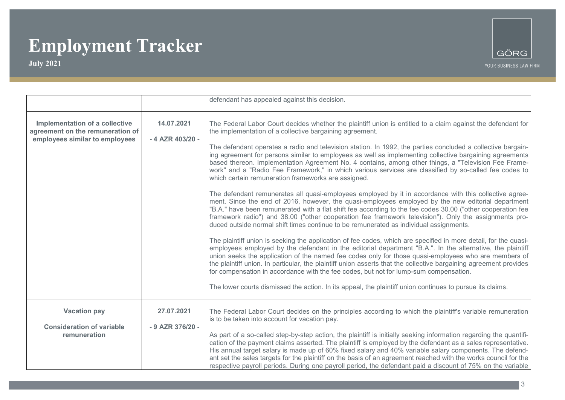

|                                                                                                      |                                | defendant has appealed against this decision.                                                                                                                                                                                                                                                                                                                                                                                                                                                                                                                                                                                                                                                                                                                                                                                                                                                                                                                                                                                                                                                                                                                                                                                                                                                                                                                                                                                                                                                                                                                                                                                                                                                                                                                                                                                                                                   |
|------------------------------------------------------------------------------------------------------|--------------------------------|---------------------------------------------------------------------------------------------------------------------------------------------------------------------------------------------------------------------------------------------------------------------------------------------------------------------------------------------------------------------------------------------------------------------------------------------------------------------------------------------------------------------------------------------------------------------------------------------------------------------------------------------------------------------------------------------------------------------------------------------------------------------------------------------------------------------------------------------------------------------------------------------------------------------------------------------------------------------------------------------------------------------------------------------------------------------------------------------------------------------------------------------------------------------------------------------------------------------------------------------------------------------------------------------------------------------------------------------------------------------------------------------------------------------------------------------------------------------------------------------------------------------------------------------------------------------------------------------------------------------------------------------------------------------------------------------------------------------------------------------------------------------------------------------------------------------------------------------------------------------------------|
| Implementation of a collective<br>agreement on the remuneration of<br>employees similar to employees | 14.07.2021<br>- 4 AZR 403/20 - | The Federal Labor Court decides whether the plaintiff union is entitled to a claim against the defendant for<br>the implementation of a collective bargaining agreement.<br>The defendant operates a radio and television station. In 1992, the parties concluded a collective bargain-<br>ing agreement for persons similar to employees as well as implementing collective bargaining agreements<br>based thereon. Implementation Agreement No. 4 contains, among other things, a "Television Fee Frame-<br>work" and a "Radio Fee Framework," in which various services are classified by so-called fee codes to<br>which certain remuneration frameworks are assigned.<br>The defendant remunerates all quasi-employees employed by it in accordance with this collective agree-<br>ment. Since the end of 2016, however, the quasi-employees employed by the new editorial department<br>"B.A." have been remunerated with a flat shift fee according to the fee codes 30.00 ("other cooperation fee<br>framework radio") and 38.00 ("other cooperation fee framework television"). Only the assignments pro-<br>duced outside normal shift times continue to be remunerated as individual assignments.<br>The plaintiff union is seeking the application of fee codes, which are specified in more detail, for the quasi-<br>employees employed by the defendant in the editorial department "B.A.". In the alternative, the plaintiff<br>union seeks the application of the named fee codes only for those quasi-employees who are members of<br>the plaintiff union. In particular, the plaintiff union asserts that the collective bargaining agreement provides<br>for compensation in accordance with the fee codes, but not for lump-sum compensation.<br>The lower courts dismissed the action. In its appeal, the plaintiff union continues to pursue its claims. |
| <b>Vacation pay</b><br><b>Consideration of variable</b><br>remuneration                              | 27.07.2021<br>- 9 AZR 376/20 - | The Federal Labor Court decides on the principles according to which the plaintiff's variable remuneration<br>is to be taken into account for vacation pay.<br>As part of a so-called step-by-step action, the plaintiff is initially seeking information regarding the quantifi-<br>cation of the payment claims asserted. The plaintiff is employed by the defendant as a sales representative.<br>His annual target salary is made up of 60% fixed salary and 40% variable salary components. The defend-<br>ant set the sales targets for the plaintiff on the basis of an agreement reached with the works council for the<br>respective payroll periods. During one payroll period, the defendant paid a discount of 75% on the variable                                                                                                                                                                                                                                                                                                                                                                                                                                                                                                                                                                                                                                                                                                                                                                                                                                                                                                                                                                                                                                                                                                                                  |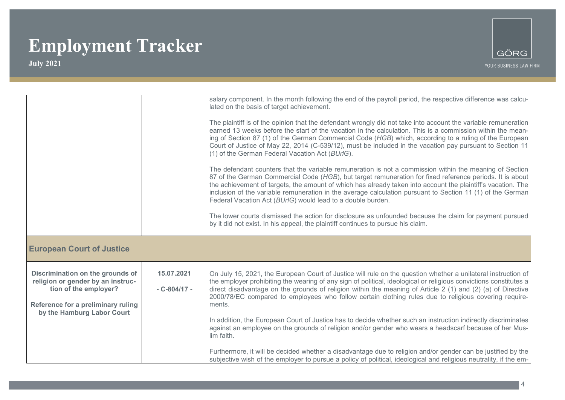

|                                                                                                                                                                    |                               | salary component. In the month following the end of the payroll period, the respective difference was calcu-<br>lated on the basis of target achievement.<br>The plaintiff is of the opinion that the defendant wrongly did not take into account the variable remuneration<br>earned 13 weeks before the start of the vacation in the calculation. This is a commission within the mean-<br>ing of Section 87 (1) of the German Commercial Code (HGB) which, according to a ruling of the European<br>Court of Justice of May 22, 2014 (C-539/12), must be included in the vacation pay pursuant to Section 11<br>(1) of the German Federal Vacation Act (BUrlG).<br>The defendant counters that the variable remuneration is not a commission within the meaning of Section<br>87 of the German Commercial Code (HGB), but target remuneration for fixed reference periods. It is about<br>the achievement of targets, the amount of which has already taken into account the plaintiff's vacation. The<br>inclusion of the variable remuneration in the average calculation pursuant to Section 11 (1) of the German<br>Federal Vacation Act (BUrIG) would lead to a double burden.<br>The lower courts dismissed the action for disclosure as unfounded because the claim for payment pursued |
|--------------------------------------------------------------------------------------------------------------------------------------------------------------------|-------------------------------|---------------------------------------------------------------------------------------------------------------------------------------------------------------------------------------------------------------------------------------------------------------------------------------------------------------------------------------------------------------------------------------------------------------------------------------------------------------------------------------------------------------------------------------------------------------------------------------------------------------------------------------------------------------------------------------------------------------------------------------------------------------------------------------------------------------------------------------------------------------------------------------------------------------------------------------------------------------------------------------------------------------------------------------------------------------------------------------------------------------------------------------------------------------------------------------------------------------------------------------------------------------------------------------------------|
|                                                                                                                                                                    |                               | by it did not exist. In his appeal, the plaintiff continues to pursue his claim.                                                                                                                                                                                                                                                                                                                                                                                                                                                                                                                                                                                                                                                                                                                                                                                                                                                                                                                                                                                                                                                                                                                                                                                                                  |
| <b>European Court of Justice</b>                                                                                                                                   |                               |                                                                                                                                                                                                                                                                                                                                                                                                                                                                                                                                                                                                                                                                                                                                                                                                                                                                                                                                                                                                                                                                                                                                                                                                                                                                                                   |
| Discrimination on the grounds of<br>religion or gender by an instruc-<br>tion of the employer?<br>Reference for a preliminary ruling<br>by the Hamburg Labor Court | 15.07.2021<br>$-C - 804/17 -$ | On July 15, 2021, the European Court of Justice will rule on the question whether a unilateral instruction of<br>the employer prohibiting the wearing of any sign of political, ideological or religious convictions constitutes a<br>direct disadvantage on the grounds of religion within the meaning of Article 2 (1) and (2) (a) of Directive<br>2000/78/EC compared to employees who follow certain clothing rules due to religious covering require-<br>ments.<br>In addition, the European Court of Justice has to decide whether such an instruction indirectly discriminates<br>against an employee on the grounds of religion and/or gender who wears a headscarf because of her Mus-<br>lim faith.                                                                                                                                                                                                                                                                                                                                                                                                                                                                                                                                                                                     |
|                                                                                                                                                                    |                               | Furthermore, it will be decided whether a disadvantage due to religion and/or gender can be justified by the<br>subjective wish of the employer to pursue a policy of political, ideological and religious neutrality, if the em-                                                                                                                                                                                                                                                                                                                                                                                                                                                                                                                                                                                                                                                                                                                                                                                                                                                                                                                                                                                                                                                                 |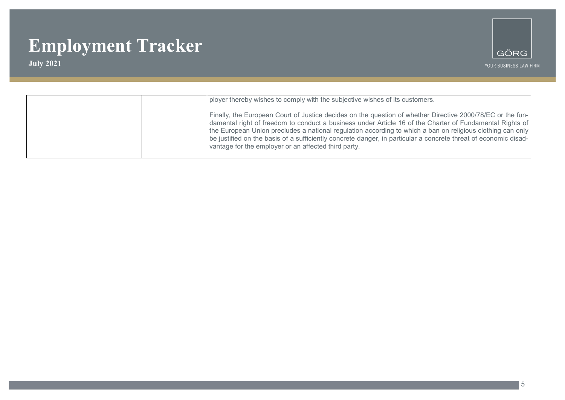

| ployer thereby wishes to comply with the subjective wishes of its customers.                                                                                                                                                                                                                                                                                                                                                                                                                                    |
|-----------------------------------------------------------------------------------------------------------------------------------------------------------------------------------------------------------------------------------------------------------------------------------------------------------------------------------------------------------------------------------------------------------------------------------------------------------------------------------------------------------------|
| Finally, the European Court of Justice decides on the question of whether Directive 2000/78/EC or the fun-<br>damental right of freedom to conduct a business under Article 16 of the Charter of Fundamental Rights of<br>the European Union precludes a national regulation according to which a ban on religious clothing can only<br>be justified on the basis of a sufficiently concrete danger, in particular a concrete threat of economic disad-<br>vantage for the employer or an affected third party. |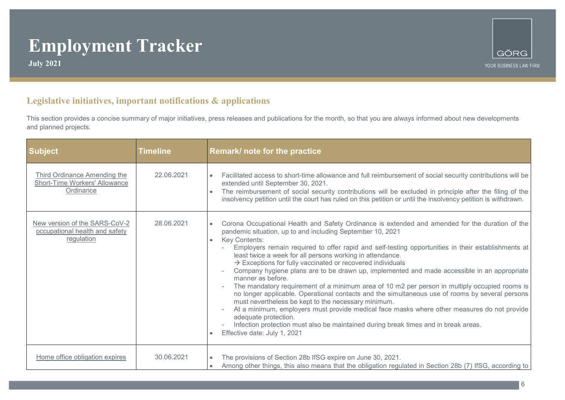**July 2021**



#### **Legislative initiatives, important notifications & applications**

This section provides a concise summary of major initiatives, press releases and publications for the month, so that you are always informed about new developments and planned projects.

| <b>Subject</b>                                                                    | <b>Timeline</b> | Remark/ note for the practice                                                                                                                                                                                                                                                                                                                                                                                                                                                                                                                                                                                                                                                                                                                                                                                                                                                                                                                                                                                                                                                                   |
|-----------------------------------------------------------------------------------|-----------------|-------------------------------------------------------------------------------------------------------------------------------------------------------------------------------------------------------------------------------------------------------------------------------------------------------------------------------------------------------------------------------------------------------------------------------------------------------------------------------------------------------------------------------------------------------------------------------------------------------------------------------------------------------------------------------------------------------------------------------------------------------------------------------------------------------------------------------------------------------------------------------------------------------------------------------------------------------------------------------------------------------------------------------------------------------------------------------------------------|
| <b>Third Ordinance Amending the</b><br>Short-Time Workers' Allowance<br>Ordinance | 22.06.2021      | Facilitated access to short-time allowance and full reimbursement of social security contributions will be<br>$\bullet$<br>extended until September 30, 2021.<br>The reimbursement of social security contributions will be excluded in principle after the filing of the<br>insolvency petition until the court has ruled on this petition or until the insolvency petition is withdrawn.                                                                                                                                                                                                                                                                                                                                                                                                                                                                                                                                                                                                                                                                                                      |
| New version of the SARS-CoV-2<br>occupational health and safety<br>regulation     | 28.06.2021      | Corona Occupational Health and Safety Ordinance is extended and amended for the duration of the<br>$\bullet$<br>pandemic situation, up to and including September 10, 2021<br>Key Contents:<br>$\bullet$<br>Employers remain required to offer rapid and self-testing opportunities in their establishments at<br>least twice a week for all persons working in attendance.<br>$\rightarrow$ Exceptions for fully vaccinated or recovered individuals<br>Company hygiene plans are to be drawn up, implemented and made accessible in an appropriate<br>manner as before.<br>The mandatory requirement of a minimum area of 10 m2 per person in multiply occupied rooms is<br>no longer applicable. Operational contacts and the simultaneous use of rooms by several persons<br>must nevertheless be kept to the necessary minimum.<br>At a minimum, employers must provide medical face masks where other measures do not provide<br>adequate protection.<br>Infection protection must also be maintained during break times and in break areas.<br>Effective date: July 1, 2021<br>$\bullet$ |
| Home office obligation expires                                                    | 30.06.2021      | The provisions of Section 28b IfSG expire on June 30, 2021.<br>Among other things, this also means that the obligation regulated in Section 28b (7) IfSG, according to<br>$\bullet$                                                                                                                                                                                                                                                                                                                                                                                                                                                                                                                                                                                                                                                                                                                                                                                                                                                                                                             |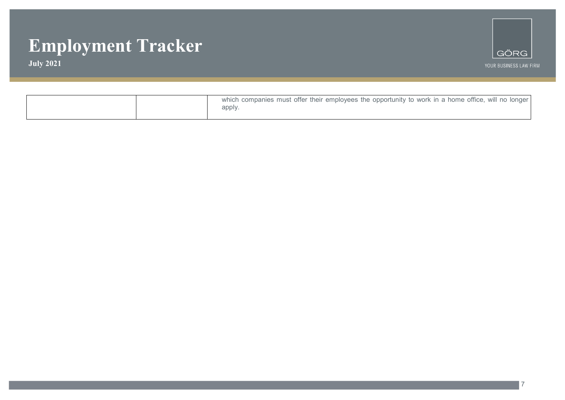**July 2021**



7

|  | which companies must offer their employees the opportunity to work in a home office, will no longer<br>apply. |
|--|---------------------------------------------------------------------------------------------------------------|
|--|---------------------------------------------------------------------------------------------------------------|